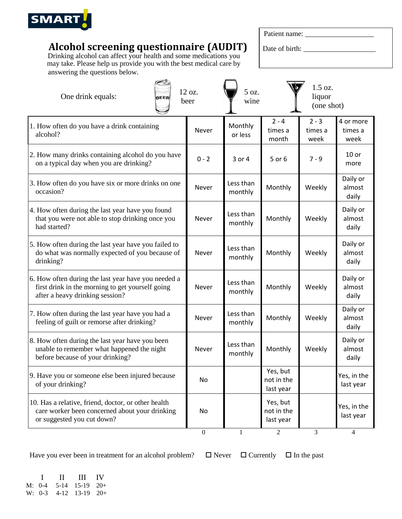

## **Alcohol screening questionnaire (AUDIT)**

Drinking alcohol can affect your health and some medications you may take. Please help us provide you with the best medical care by answering the questions below.

| Patient name: |  |
|---------------|--|
|               |  |

Date of birth: \_\_\_\_\_\_\_\_\_\_\_\_\_\_\_\_\_\_\_\_

| One drink equals:<br><b>BEER</b>                                                                                                           | 12 oz.<br>beer   | 5 oz.<br>wine        |                                     | 1.5 oz.<br>liquor<br>(one shot) |                              |
|--------------------------------------------------------------------------------------------------------------------------------------------|------------------|----------------------|-------------------------------------|---------------------------------|------------------------------|
| 1. How often do you have a drink containing<br>alcohol?                                                                                    | Never            | Monthly<br>or less   | $2 - 4$<br>times a<br>month         | $2 - 3$<br>times a<br>week      | 4 or more<br>times a<br>week |
| 2. How many drinks containing alcohol do you have<br>on a typical day when you are drinking?                                               | $0 - 2$          | 3 or 4               | 5 or 6                              | $7 - 9$                         | $10$ or<br>more              |
| 3. How often do you have six or more drinks on one<br>occasion?                                                                            | Never            | Less than<br>monthly | Monthly                             | Weekly                          | Daily or<br>almost<br>daily  |
| 4. How often during the last year have you found<br>that you were not able to stop drinking once you<br>had started?                       | Never            | Less than<br>monthly | Monthly                             | Weekly                          | Daily or<br>almost<br>daily  |
| 5. How often during the last year have you failed to<br>do what was normally expected of you because of<br>drinking?                       | Never            | Less than<br>monthly | Monthly                             | Weekly                          | Daily or<br>almost<br>daily  |
| 6. How often during the last year have you needed a<br>first drink in the morning to get yourself going<br>after a heavy drinking session? | Never            | Less than<br>monthly | Monthly                             | Weekly                          | Daily or<br>almost<br>daily  |
| 7. How often during the last year have you had a<br>feeling of guilt or remorse after drinking?                                            | Never            | Less than<br>monthly | Monthly                             | Weekly                          | Daily or<br>almost<br>daily  |
| 8. How often during the last year have you been<br>unable to remember what happened the night<br>before because of your drinking?          | Never            | Less than<br>monthly | Monthly                             | Weekly                          | Daily or<br>almost<br>daily  |
| 9. Have you or someone else been injured because<br>of your drinking?                                                                      | No               |                      | Yes, but<br>not in the<br>last year |                                 | Yes, in the<br>last year     |
| 10. Has a relative, friend, doctor, or other health<br>care worker been concerned about your drinking<br>or suggested you cut down?        | No               |                      | Yes, but<br>not in the<br>last year |                                 | Yes, in the<br>last year     |
|                                                                                                                                            | $\boldsymbol{0}$ | 1                    | 2                                   | $\mathfrak{Z}$                  | $\overline{4}$               |

Have you ever been in treatment for an alcohol problem?  $\Box$  Never  $\Box$  Currently  $\Box$  In the past

 I II III IV M: 0-4 5-14 15-19 20+ W: 0-3 4-12 13-19 20+